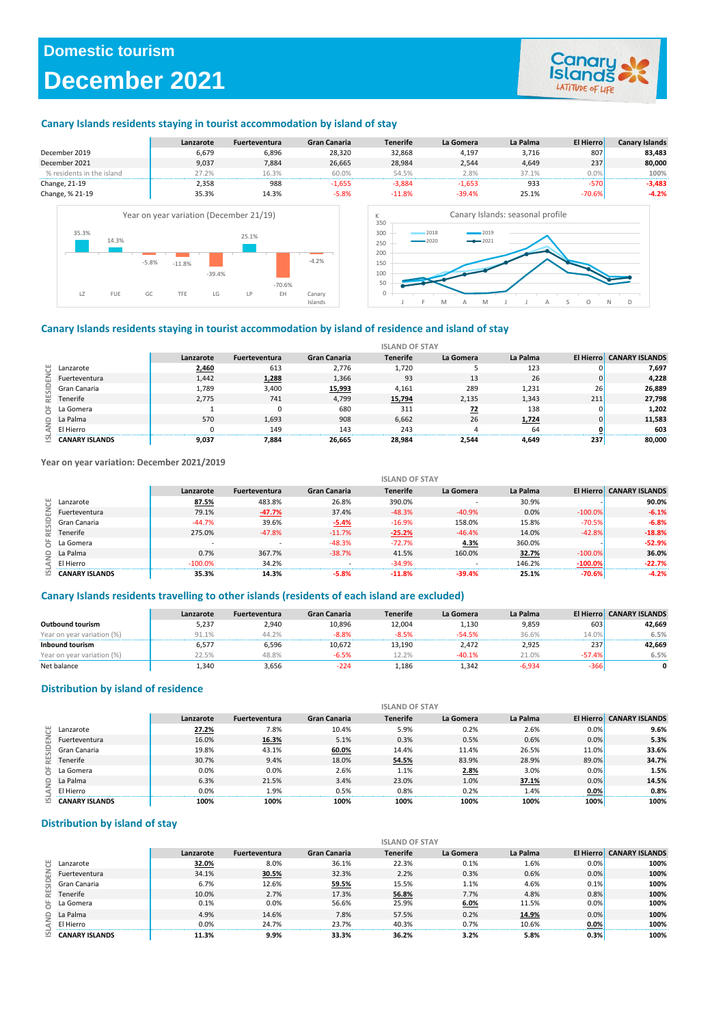## **Domestic tourism**

## **December 2021**



### **Canary Islands residents staying in tourist accommodation by island of stay**



### **Canary Islands residents staying in tourist accommodation by island of residence and island of stay**

|     |                       |           |                      |                     | <b>ISLAND OF STAY</b> |           |          |     |                                 |
|-----|-----------------------|-----------|----------------------|---------------------|-----------------------|-----------|----------|-----|---------------------------------|
|     |                       | Lanzarote | <b>Fuerteventura</b> | <b>Gran Canaria</b> | <b>Tenerife</b>       | La Gomera | La Palma |     | <b>El Hierro CANARY ISLANDS</b> |
| ö   | Lanzarote             | 2,460     | 613                  | 2,776               | 1,720                 |           | 123      |     | 7,697                           |
| E   | Fuerteventura         | 1.442     | 1,288                | 1,366               | 93                    | 13        | 26       |     | 4.228                           |
| SID | Gran Canaria          | 1,789     | 3,400                | 15,993              | 4,161                 | 289       | 1,231    | 26  | 26,889                          |
| 븵   | Tenerife              | 2.775     | 741                  | 4.799               | 15,794                | 2,135     | 1,343    | 211 | 27,798                          |
| ä   | La Gomera             |           |                      | 680                 | 311                   | 72        | 138      |     | 1,202                           |
| ŝ   | La Palma              | 570       | 1,693                | 908                 | 6,662                 | 26        | 1,724    |     | 11,583                          |
|     | El Hierro             |           | 149                  | 143                 | 243                   |           | 64       |     | 603                             |
|     | <b>CANARY ISLANDS</b> | 9,037     | 7.884                | 26.665              | 28.984                | 2,544     | 4.649    | 237 | 80.000                          |

**Year on year variation: December 2021/2019**

|                |                       |                          |                          |              | <b>ISLAND OF STAY</b> |           |          |            |                                 |
|----------------|-----------------------|--------------------------|--------------------------|--------------|-----------------------|-----------|----------|------------|---------------------------------|
|                |                       | Lanzarote                | <b>Fuerteventura</b>     | Gran Canaria | <b>Tenerife</b>       | La Gomera | La Palma |            | <b>El Hierro CANARY ISLANDS</b> |
| ö              | Lanzarote             | 87.5%                    | 483.8%                   | 26.8%        | 390.0%                |           | 30.9%    |            | 90.0%                           |
| 훕              | Fuerteventura         | 79.1%                    | $-47.7%$                 | 37.4%        | $-48.3%$              | $-40.9%$  | 0.0%     | $-100.0\%$ | $-6.1%$                         |
| $rac{D}{2}$    | Gran Canaria          | $-44.7%$                 | 39.6%                    | $-5.4%$      | $-16.9%$              | 158.0%    | 15.8%    | $-70.5%$   | $-6.8%$                         |
| 援              | Tenerife              | 275.0%                   | $-47.8%$                 | $-11.7%$     | $-25.2%$              | $-46.4%$  | 14.0%    | $-42.8%$   | $-18.8%$                        |
| ă              | La Gomera             | $\overline{\phantom{a}}$ | $\overline{\phantom{a}}$ | $-48.3%$     | $-72.7%$              | 4.3%      | 360.0%   |            | $-52.9%$                        |
| AND            | La Palma              | 0.7%                     | 367.7%                   | $-38.7%$     | 41.5%                 | 160.0%    | 32.7%    | $-100.0%$  | 36.0%                           |
|                | El Hierro             | $-100.0%$                | 34.2%                    |              | $-34.9%$              |           | 146.2%   | $-100.0%$  | $-22.7%$                        |
| $\overline{S}$ | <b>CANARY ISLANDS</b> | 35.3%                    | 14.3%                    | $-5.8%$      | $-11.8%$              | $-39.4%$  | 25.1%    | $-70.6%$   | $-4.2%$                         |

### **Canary Islands residents travelling to other islands (residents of each island are excluded)**

|                            | Lanzarote | <b>Fuerteventura</b> | Gran Canaria | <b>Tenerife</b> | La Gomera | La Palma |          | <b>El Hierro CANARY ISLANDS</b> |
|----------------------------|-----------|----------------------|--------------|-----------------|-----------|----------|----------|---------------------------------|
| Outbound tourism           | 5.237     | 2.940                | 10.896       | 12.004          | 1.130     | 9,859    | 603      | 42.669                          |
| Year on year variation (%) | 91.1%     | 44.2%                | $-8.8%$      | $-8.5%$         | $-54.5%$  | 36.6%    | 14.0%    | 6.5%                            |
| Inbound tourism            | 6,577     | 6,596                | 10,672       | 13.190          | 2.472     | 2,925    | 237      | 42,669                          |
| Year on year variation (%) | 22.5%     | 48.8%                | $-6.5%$      | 12.2%           | $-40.1%$  | 21.0%    | $-57.4%$ | 6.5%                            |
| Net balance                | 1,340     | 3,656                | $-224$       | 1,186           | 1.342     | $-6.934$ | $-366$   |                                 |

### **Distribution by island of residence**

|           |                       |           |                      |                     | <b>ISLAND OF STAY</b> |           |          |           |                       |
|-----------|-----------------------|-----------|----------------------|---------------------|-----------------------|-----------|----------|-----------|-----------------------|
|           |                       | Lanzarote | <b>Fuerteventura</b> | <b>Gran Canaria</b> | <b>Tenerife</b>       | La Gomera | La Palma | El Hierro | <b>CANARY ISLANDS</b> |
|           | Lanzarote             | 27.2%     | 7.8%                 | 10.4%               | 5.9%                  | 0.2%      | 2.6%     | 0.0%      | 9.6%                  |
| RESIDENCE | Fuerteventura         | 16.0%     | 16.3%                | 5.1%                | 0.3%                  | 0.5%      | 0.6%     | 0.0%      | 5.3%                  |
|           | Gran Canaria          | 19.8%     | 43.1%                | 60.0%               | 14.4%                 | 11.4%     | 26.5%    | 11.0%     | 33.6%                 |
|           | Tenerife              | 30.7%     | 9.4%                 | 18.0%               | 54.5%                 | 83.9%     | 28.9%    | 89.0%     | 34.7%                 |
| ä         | La Gomera             | 0.0%      | 0.0%                 | 2.6%                | 1.1%                  | 2.8%      | 3.0%     | 0.0%      | 1.5%                  |
| a<br>S    | La Palma              | 6.3%      | 21.5%                | 3.4%                | 23.0%                 | 1.0%      | 37.1%    | 0.0%      | 14.5%                 |
| ď         | El Hierro             | 0.0%      | 1.9%                 | 0.5%                | 0.8%                  | 0.2%      | 1.4%     | $0.0\%$   | 0.8%                  |
| 흐         | <b>CANARY ISLANDS</b> | 100%      | 100%                 | 100%                | 100%                  | 100%      | 100%     | 100%      | 100%                  |

### **Distribution by island of stay**

|                  |                       |           |                      |                     | <b>ISLAND OF STAY</b> |           |          |           |                       |
|------------------|-----------------------|-----------|----------------------|---------------------|-----------------------|-----------|----------|-----------|-----------------------|
|                  |                       | Lanzarote | <b>Fuerteventura</b> | <b>Gran Canaria</b> | <b>Tenerife</b>       | La Gomera | La Palma | El Hierro | <b>CANARY ISLANDS</b> |
|                  | Lanzarote             | 32.0%     | 8.0%                 | 36.1%               | 22.3%                 | 0.1%      | 1.6%     | 0.0%      | 100%                  |
| <b>RESIDENCE</b> | Fuerteventura         | 34.1%     | 30.5%                | 32.3%               | 2.2%                  | 0.3%      | 0.6%     | 0.0%      | 100%                  |
|                  | Gran Canaria          | 6.7%      | 12.6%                | 59.5%               | 15.5%                 | 1.1%      | 4.6%     | 0.1%      | 100%                  |
|                  | Tenerife              | 10.0%     | 2.7%                 | 17.3%               | 56.8%                 | 7.7%      | 4.8%     | 0.8%      | 100%                  |
| ă                | La Gomera             | 0.1%      | 0.0%                 | 56.6%               | 25.9%                 | 6.0%      | 11.5%    | 0.0%      | 100%                  |
|                  | $\cap$ La Palma       | 4.9%      | 14.6%                | 7.8%                | 57.5%                 | 0.2%      | 14.9%    | 0.0%      | 100%                  |
| Ę                | El Hierro             | 0.0%      | 24.7%                | 23.7%               | 40.3%                 | 0.7%      | 10.6%    | 0.0%      | 100%                  |
| 쯔                | <b>CANARY ISLANDS</b> | 11.3%     | 9.9%                 | 33.3%               | 36.2%                 | 3.2%      | 5.8%     | 0.3%      | 100%                  |